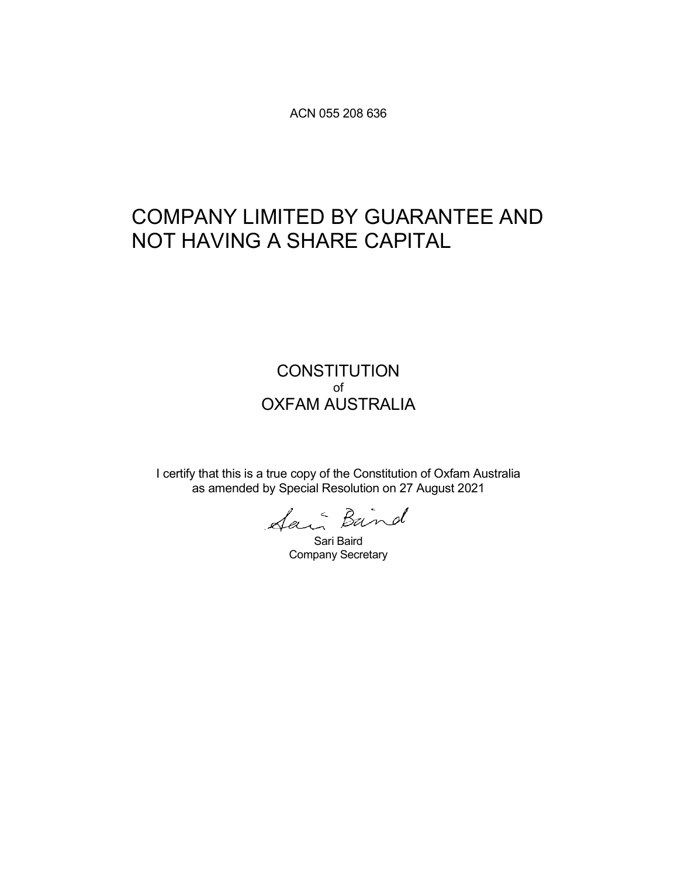ACN 055 208 636

# COMPANY LIMITED BY GUARANTEE AND NOT HAVING A SHARE CAPITAL

### **CONSTITUTION** of OXFAM AUSTRALIA

I certify that this is a true copy of the Constitution of Oxfam Australia as amended by Special Resolution on 27 August 2021

Sari Baird Company Secretary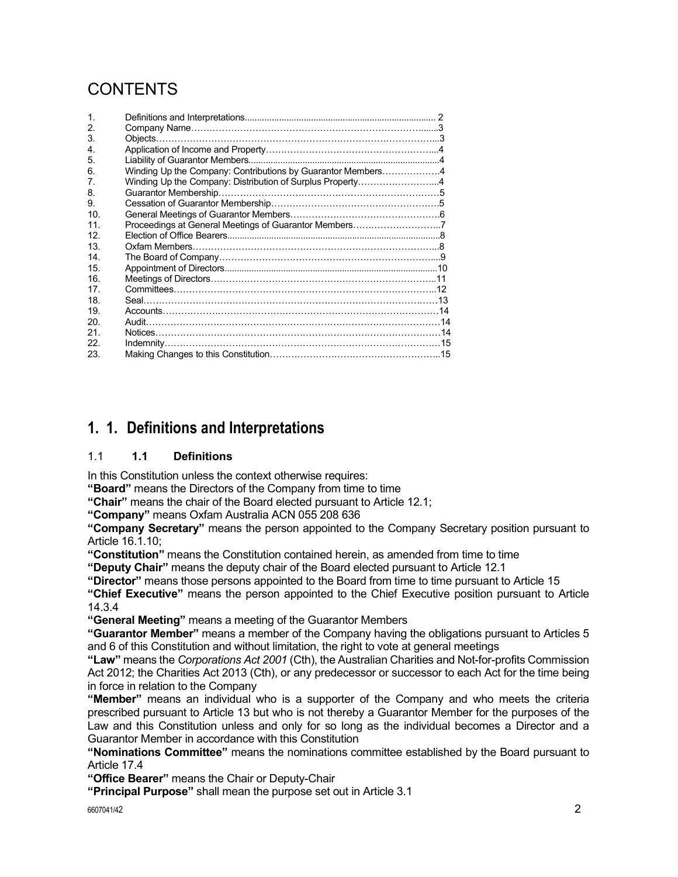# CONTENTS

| $\mathbf{1}$    |                                                             |  |
|-----------------|-------------------------------------------------------------|--|
| 2.              |                                                             |  |
| 3.              |                                                             |  |
| 4.              |                                                             |  |
| 5.              |                                                             |  |
| 6.              | Winding Up the Company: Contributions by Guarantor Members4 |  |
| 7.              | Winding Up the Company: Distribution of Surplus Property4   |  |
| 8.              |                                                             |  |
| 9.              |                                                             |  |
| 10.             |                                                             |  |
| 11 <sub>1</sub> |                                                             |  |
| 12 <sub>1</sub> |                                                             |  |
| 13 <sub>1</sub> |                                                             |  |
| 14              |                                                             |  |
| 15.             |                                                             |  |
| 16.             |                                                             |  |
| 17.             |                                                             |  |
| 18.             |                                                             |  |
| 19.             |                                                             |  |
| 20.             |                                                             |  |
| 21.             |                                                             |  |
| 22.             |                                                             |  |
| 23.             |                                                             |  |

# **1. 1. Definitions and Interpretations**

#### 1.1 **1.1 Definitions**

In this Constitution unless the context otherwise requires:

**"Board"** means the Directors of the Company from time to time

**"Chair"** means the chair of the Board elected pursuant to Article 12.1;

**"Company"** means Oxfam Australia ACN 055 208 636

**"Company Secretary"** means the person appointed to the Company Secretary position pursuant to Article 16.1.10;

**"Constitution"** means the Constitution contained herein, as amended from time to time

**"Deputy Chair"** means the deputy chair of the Board elected pursuant to Article 12.1

**"Director"** means those persons appointed to the Board from time to time pursuant to Article 15

**"Chief Executive"** means the person appointed to the Chief Executive position pursuant to Article 14.3.4

**"General Meeting"** means a meeting of the Guarantor Members

**"Guarantor Member"** means a member of the Company having the obligations pursuant to Articles 5 and 6 of this Constitution and without limitation, the right to vote at general meetings

**"Law"** means the *Corporations Act 2001* (Cth), the Australian Charities and Not-for-profits Commission Act 2012; the Charities Act 2013 (Cth), or any predecessor or successor to each Act for the time being in force in relation to the Company

**"Member"** means an individual who is a supporter of the Company and who meets the criteria prescribed pursuant to Article 13 but who is not thereby a Guarantor Member for the purposes of the Law and this Constitution unless and only for so long as the individual becomes a Director and a Guarantor Member in accordance with this Constitution

**"Nominations Committee"** means the nominations committee established by the Board pursuant to Article 17.4

**"Office Bearer"** means the Chair or Deputy-Chair

**"Principal Purpose"** shall mean the purpose set out in Article 3.1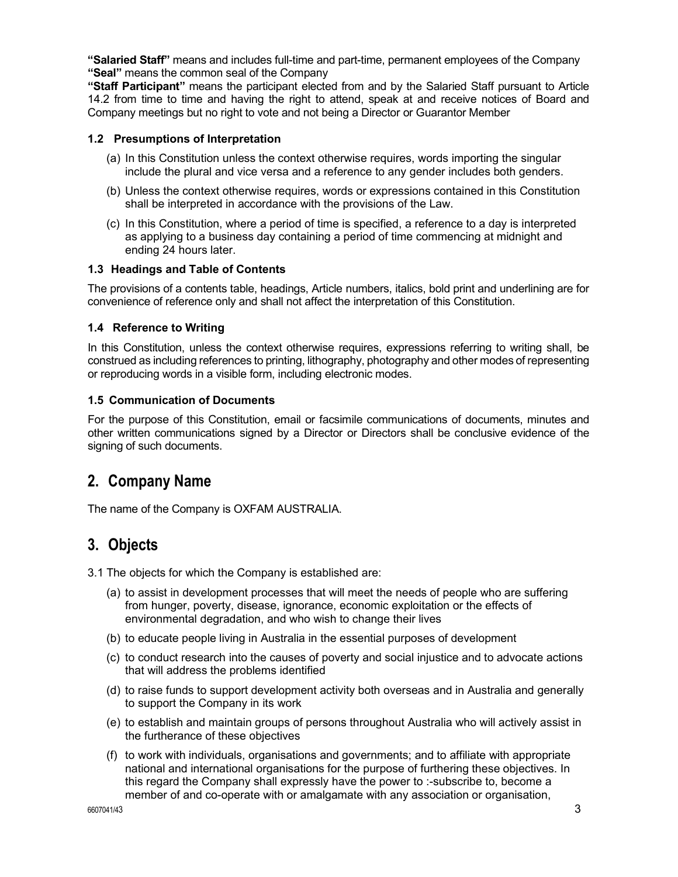**"Salaried Staff"** means and includes full-time and part-time, permanent employees of the Company **"Seal"** means the common seal of the Company

**"Staff Participant"** means the participant elected from and by the Salaried Staff pursuant to Article 14.2 from time to time and having the right to attend, speak at and receive notices of Board and Company meetings but no right to vote and not being a Director or Guarantor Member

#### **1.2 Presumptions of Interpretation**

- (a) In this Constitution unless the context otherwise requires, words importing the singular include the plural and vice versa and a reference to any gender includes both genders.
- (b) Unless the context otherwise requires, words or expressions contained in this Constitution shall be interpreted in accordance with the provisions of the Law.
- (c) In this Constitution, where a period of time is specified, a reference to a day is interpreted as applying to a business day containing a period of time commencing at midnight and ending 24 hours later.

#### **1.3 Headings and Table of Contents**

The provisions of a contents table, headings, Article numbers, italics, bold print and underlining are for convenience of reference only and shall not affect the interpretation of this Constitution.

#### **1.4 Reference to Writing**

In this Constitution, unless the context otherwise requires, expressions referring to writing shall, be construed as including references to printing, lithography, photography and other modes of representing or reproducing words in a visible form, including electronic modes.

#### **1.5 Communication of Documents**

For the purpose of this Constitution, email or facsimile communications of documents, minutes and other written communications signed by a Director or Directors shall be conclusive evidence of the signing of such documents.

### **2. Company Name**

The name of the Company is OXFAM AUSTRALIA.

### **3. Objects**

3.1 The objects for which the Company is established are:

- (a) to assist in development processes that will meet the needs of people who are suffering from hunger, poverty, disease, ignorance, economic exploitation or the effects of environmental degradation, and who wish to change their lives
- (b) to educate people living in Australia in the essential purposes of development
- (c) to conduct research into the causes of poverty and social injustice and to advocate actions that will address the problems identified
- (d) to raise funds to support development activity both overseas and in Australia and generally to support the Company in its work
- (e) to establish and maintain groups of persons throughout Australia who will actively assist in the furtherance of these objectives
- (f) to work with individuals, organisations and governments; and to affiliate with appropriate national and international organisations for the purpose of furthering these objectives. In this regard the Company shall expressly have the power to :-subscribe to, become a member of and co-operate with or amalgamate with any association or organisation,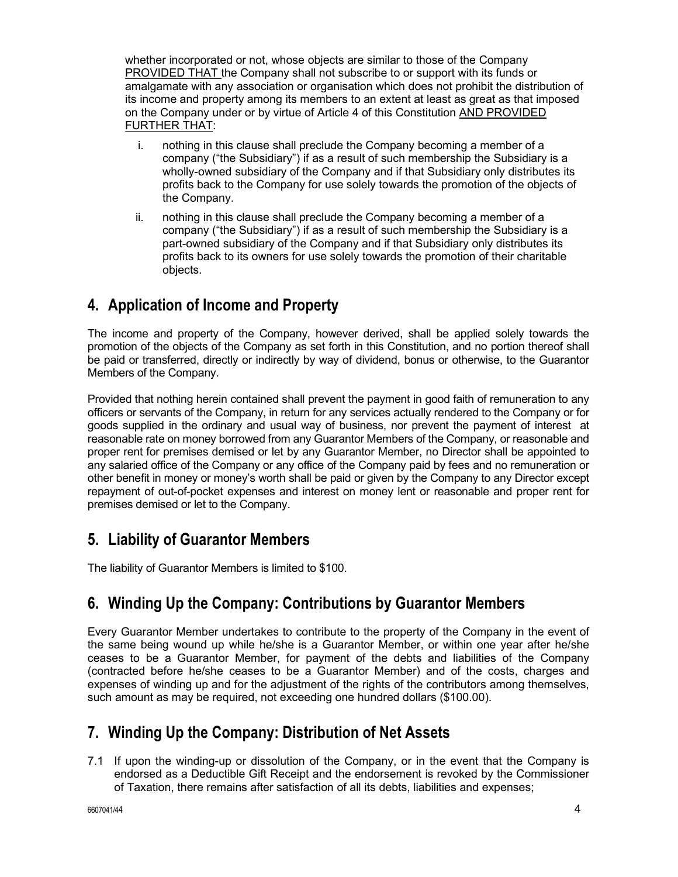whether incorporated or not, whose objects are similar to those of the Company PROVIDED THAT the Company shall not subscribe to or support with its funds or amalgamate with any association or organisation which does not prohibit the distribution of its income and property among its members to an extent at least as great as that imposed on the Company under or by virtue of Article 4 of this Constitution AND PROVIDED FURTHER THAT:

- i. nothing in this clause shall preclude the Company becoming a member of a company ("the Subsidiary") if as a result of such membership the Subsidiary is a wholly-owned subsidiary of the Company and if that Subsidiary only distributes its profits back to the Company for use solely towards the promotion of the objects of the Company.
- ii. nothing in this clause shall preclude the Company becoming a member of a company ("the Subsidiary") if as a result of such membership the Subsidiary is a part-owned subsidiary of the Company and if that Subsidiary only distributes its profits back to its owners for use solely towards the promotion of their charitable objects.

# **4. Application of Income and Property**

The income and property of the Company, however derived, shall be applied solely towards the promotion of the objects of the Company as set forth in this Constitution, and no portion thereof shall be paid or transferred, directly or indirectly by way of dividend, bonus or otherwise, to the Guarantor Members of the Company.

Provided that nothing herein contained shall prevent the payment in good faith of remuneration to any officers or servants of the Company, in return for any services actually rendered to the Company or for goods supplied in the ordinary and usual way of business, nor prevent the payment of interest at reasonable rate on money borrowed from any Guarantor Members of the Company, or reasonable and proper rent for premises demised or let by any Guarantor Member, no Director shall be appointed to any salaried office of the Company or any office of the Company paid by fees and no remuneration or other benefit in money or money's worth shall be paid or given by the Company to any Director except repayment of out-of-pocket expenses and interest on money lent or reasonable and proper rent for premises demised or let to the Company.

# **5. Liability of Guarantor Members**

The liability of Guarantor Members is limited to \$100.

# **6. Winding Up the Company: Contributions by Guarantor Members**

Every Guarantor Member undertakes to contribute to the property of the Company in the event of the same being wound up while he/she is a Guarantor Member, or within one year after he/she ceases to be a Guarantor Member, for payment of the debts and liabilities of the Company (contracted before he/she ceases to be a Guarantor Member) and of the costs, charges and expenses of winding up and for the adjustment of the rights of the contributors among themselves, such amount as may be required, not exceeding one hundred dollars (\$100.00).

# **7. Winding Up the Company: Distribution of Net Assets**

7.1 If upon the winding-up or dissolution of the Company, or in the event that the Company is endorsed as a Deductible Gift Receipt and the endorsement is revoked by the Commissioner of Taxation, there remains after satisfaction of all its debts, liabilities and expenses;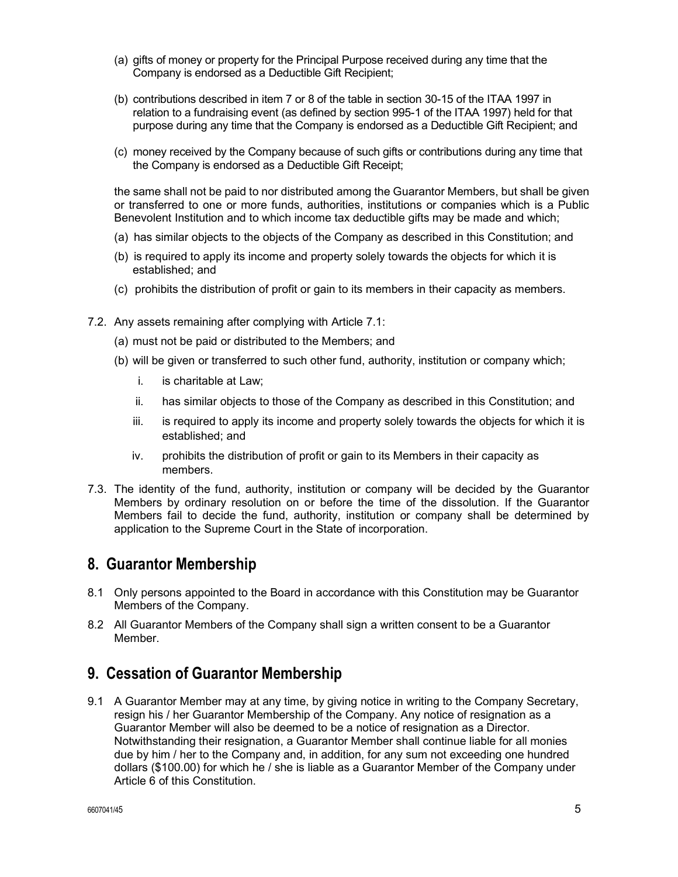- (a) gifts of money or property for the Principal Purpose received during any time that the Company is endorsed as a Deductible Gift Recipient;
- (b) contributions described in item 7 or 8 of the table in section 30-15 of the ITAA 1997 in relation to a fundraising event (as defined by section 995-1 of the ITAA 1997) held for that purpose during any time that the Company is endorsed as a Deductible Gift Recipient; and
- (c) money received by the Company because of such gifts or contributions during any time that the Company is endorsed as a Deductible Gift Receipt;

the same shall not be paid to nor distributed among the Guarantor Members, but shall be given or transferred to one or more funds, authorities, institutions or companies which is a Public Benevolent Institution and to which income tax deductible gifts may be made and which;

- (a) has similar objects to the objects of the Company as described in this Constitution; and
- (b) is required to apply its income and property solely towards the objects for which it is established; and
- (c) prohibits the distribution of profit or gain to its members in their capacity as members.
- 7.2. Any assets remaining after complying with Article 7.1:
	- (a) must not be paid or distributed to the Members; and
	- (b) will be given or transferred to such other fund, authority, institution or company which;
		- i. is charitable at Law;
		- ii. has similar objects to those of the Company as described in this Constitution; and
		- iii. is required to apply its income and property solely towards the objects for which it is established; and
		- iv. prohibits the distribution of profit or gain to its Members in their capacity as members.
- 7.3. The identity of the fund, authority, institution or company will be decided by the Guarantor Members by ordinary resolution on or before the time of the dissolution. If the Guarantor Members fail to decide the fund, authority, institution or company shall be determined by application to the Supreme Court in the State of incorporation.

### **8. Guarantor Membership**

- 8.1 Only persons appointed to the Board in accordance with this Constitution may be Guarantor Members of the Company.
- 8.2 All Guarantor Members of the Company shall sign a written consent to be a Guarantor **Member**

# **9. Cessation of Guarantor Membership**

9.1 A Guarantor Member may at any time, by giving notice in writing to the Company Secretary, resign his / her Guarantor Membership of the Company. Any notice of resignation as a Guarantor Member will also be deemed to be a notice of resignation as a Director. Notwithstanding their resignation, a Guarantor Member shall continue liable for all monies due by him / her to the Company and, in addition, for any sum not exceeding one hundred dollars (\$100.00) for which he / she is liable as a Guarantor Member of the Company under Article 6 of this Constitution.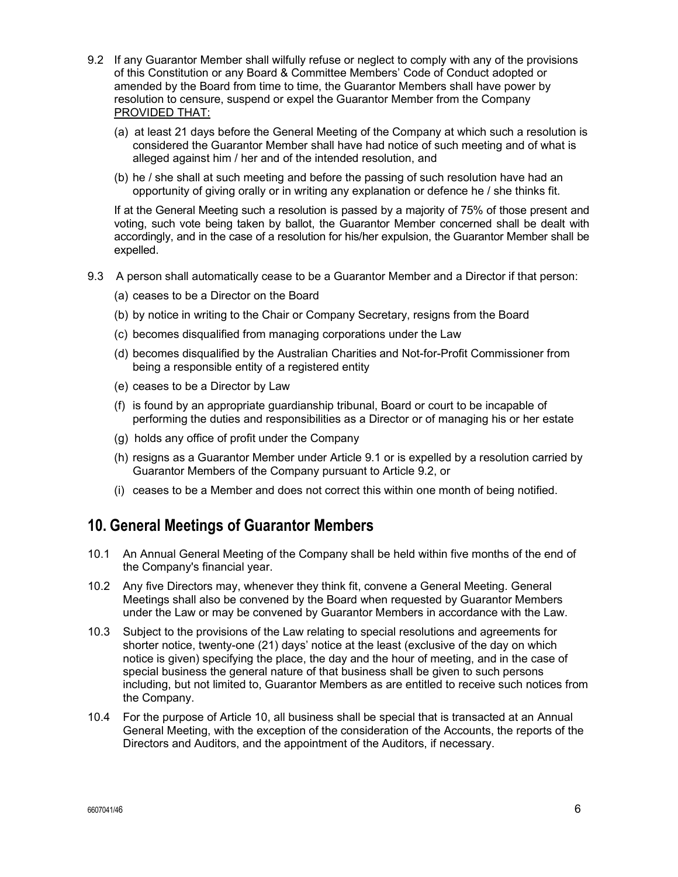- 9.2 If any Guarantor Member shall wilfully refuse or neglect to comply with any of the provisions of this Constitution or any Board & Committee Members' Code of Conduct adopted or amended by the Board from time to time, the Guarantor Members shall have power by resolution to censure, suspend or expel the Guarantor Member from the Company PROVIDED THAT:
	- (a) at least 21 days before the General Meeting of the Company at which such a resolution is considered the Guarantor Member shall have had notice of such meeting and of what is alleged against him / her and of the intended resolution, and
	- (b) he / she shall at such meeting and before the passing of such resolution have had an opportunity of giving orally or in writing any explanation or defence he / she thinks fit.

If at the General Meeting such a resolution is passed by a majority of 75% of those present and voting, such vote being taken by ballot, the Guarantor Member concerned shall be dealt with accordingly, and in the case of a resolution for his/her expulsion, the Guarantor Member shall be expelled.

- 9.3 A person shall automatically cease to be a Guarantor Member and a Director if that person:
	- (a) ceases to be a Director on the Board
	- (b) by notice in writing to the Chair or Company Secretary, resigns from the Board
	- (c) becomes disqualified from managing corporations under the Law
	- (d) becomes disqualified by the Australian Charities and Not-for-Profit Commissioner from being a responsible entity of a registered entity
	- (e) ceases to be a Director by Law
	- (f) is found by an appropriate guardianship tribunal, Board or court to be incapable of performing the duties and responsibilities as a Director or of managing his or her estate
	- (g) holds any office of profit under the Company
	- (h) resigns as a Guarantor Member under Article 9.1 or is expelled by a resolution carried by Guarantor Members of the Company pursuant to Article 9.2, or
	- (i) ceases to be a Member and does not correct this within one month of being notified.

# **10. General Meetings of Guarantor Members**

- 10.1 An Annual General Meeting of the Company shall be held within five months of the end of the Company's financial year.
- 10.2 Any five Directors may, whenever they think fit, convene a General Meeting. General Meetings shall also be convened by the Board when requested by Guarantor Members under the Law or may be convened by Guarantor Members in accordance with the Law.
- 10.3 Subject to the provisions of the Law relating to special resolutions and agreements for shorter notice, twenty-one (21) days' notice at the least (exclusive of the day on which notice is given) specifying the place, the day and the hour of meeting, and in the case of special business the general nature of that business shall be given to such persons including, but not limited to, Guarantor Members as are entitled to receive such notices from the Company.
- 10.4 For the purpose of Article 10, all business shall be special that is transacted at an Annual General Meeting, with the exception of the consideration of the Accounts, the reports of the Directors and Auditors, and the appointment of the Auditors, if necessary.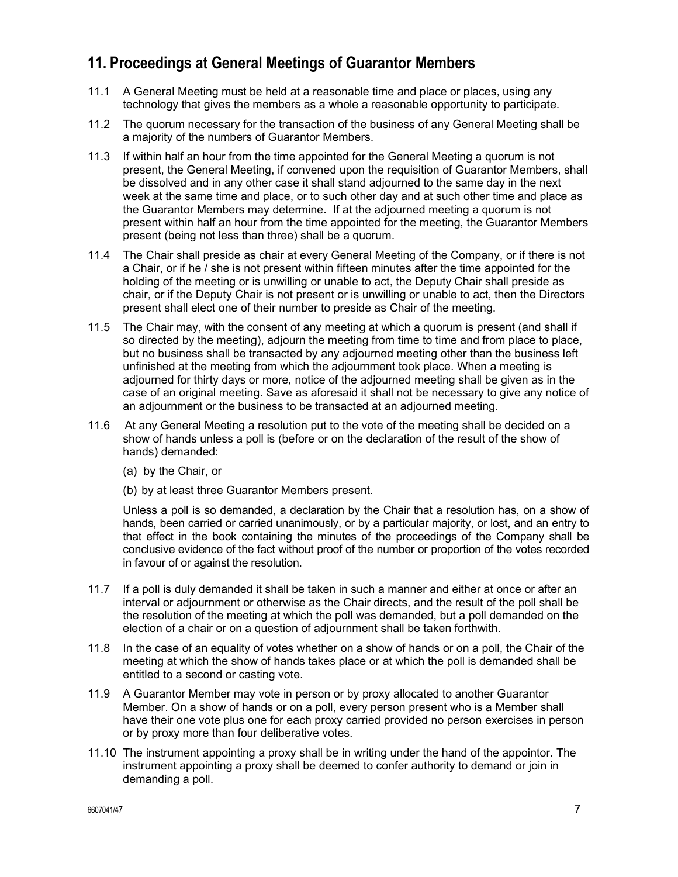# **11. Proceedings at General Meetings of Guarantor Members**

- 11.1 A General Meeting must be held at a reasonable time and place or places, using any technology that gives the members as a whole a reasonable opportunity to participate.
- 11.2 The quorum necessary for the transaction of the business of any General Meeting shall be a majority of the numbers of Guarantor Members.
- 11.3 If within half an hour from the time appointed for the General Meeting a quorum is not present, the General Meeting, if convened upon the requisition of Guarantor Members, shall be dissolved and in any other case it shall stand adjourned to the same day in the next week at the same time and place, or to such other day and at such other time and place as the Guarantor Members may determine. If at the adjourned meeting a quorum is not present within half an hour from the time appointed for the meeting, the Guarantor Members present (being not less than three) shall be a quorum.
- 11.4 The Chair shall preside as chair at every General Meeting of the Company, or if there is not a Chair, or if he / she is not present within fifteen minutes after the time appointed for the holding of the meeting or is unwilling or unable to act, the Deputy Chair shall preside as chair, or if the Deputy Chair is not present or is unwilling or unable to act, then the Directors present shall elect one of their number to preside as Chair of the meeting.
- 11.5 The Chair may, with the consent of any meeting at which a quorum is present (and shall if so directed by the meeting), adjourn the meeting from time to time and from place to place, but no business shall be transacted by any adjourned meeting other than the business left unfinished at the meeting from which the adjournment took place. When a meeting is adjourned for thirty days or more, notice of the adjourned meeting shall be given as in the case of an original meeting. Save as aforesaid it shall not be necessary to give any notice of an adjournment or the business to be transacted at an adjourned meeting.
- 11.6 At any General Meeting a resolution put to the vote of the meeting shall be decided on a show of hands unless a poll is (before or on the declaration of the result of the show of hands) demanded:
	- (a) by the Chair, or
	- (b) by at least three Guarantor Members present.

Unless a poll is so demanded, a declaration by the Chair that a resolution has, on a show of hands, been carried or carried unanimously, or by a particular majority, or lost, and an entry to that effect in the book containing the minutes of the proceedings of the Company shall be conclusive evidence of the fact without proof of the number or proportion of the votes recorded in favour of or against the resolution.

- 11.7 If a poll is duly demanded it shall be taken in such a manner and either at once or after an interval or adjournment or otherwise as the Chair directs, and the result of the poll shall be the resolution of the meeting at which the poll was demanded, but a poll demanded on the election of a chair or on a question of adjournment shall be taken forthwith.
- 11.8 In the case of an equality of votes whether on a show of hands or on a poll, the Chair of the meeting at which the show of hands takes place or at which the poll is demanded shall be entitled to a second or casting vote.
- 11.9 A Guarantor Member may vote in person or by proxy allocated to another Guarantor Member. On a show of hands or on a poll, every person present who is a Member shall have their one vote plus one for each proxy carried provided no person exercises in person or by proxy more than four deliberative votes.
- 11.10 The instrument appointing a proxy shall be in writing under the hand of the appointor. The instrument appointing a proxy shall be deemed to confer authority to demand or join in demanding a poll.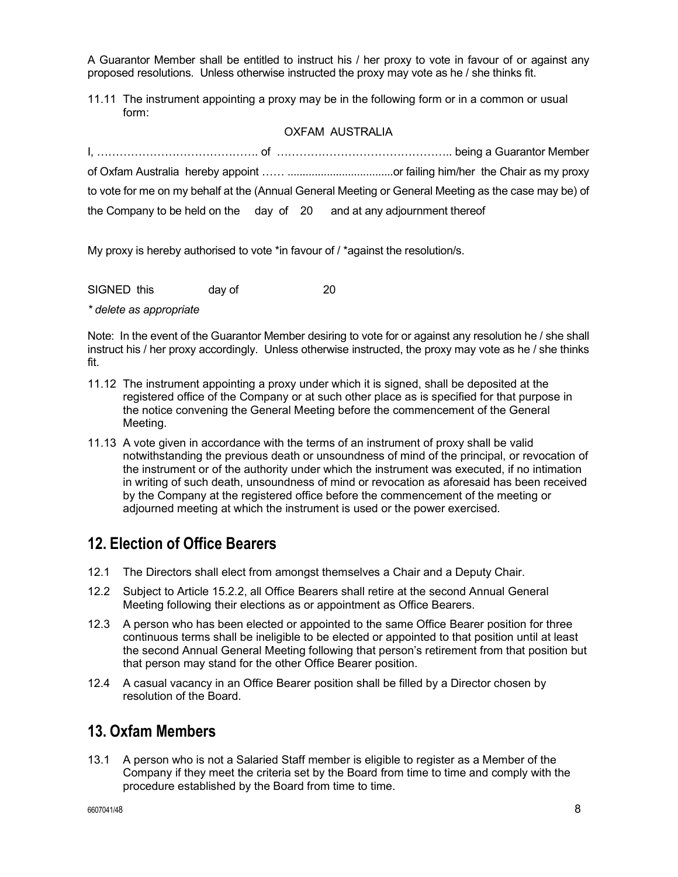A Guarantor Member shall be entitled to instruct his / her proxy to vote in favour of or against any proposed resolutions. Unless otherwise instructed the proxy may vote as he / she thinks fit.

11.11 The instrument appointing a proxy may be in the following form or in a common or usual form:

#### OXFAM AUSTRALIA

|  | to vote for me on my behalf at the (Annual General Meeting or General Meeting as the case may be) of |
|--|------------------------------------------------------------------------------------------------------|
|  | the Company to be held on the day of 20 and at any adjournment thereof                               |

My proxy is hereby authorised to vote \*in favour of / \*against the resolution/s.

| SIGNED this | dav of |  |
|-------------|--------|--|
|-------------|--------|--|

*\* delete as appropriate* 

Note: In the event of the Guarantor Member desiring to vote for or against any resolution he / she shall instruct his / her proxy accordingly. Unless otherwise instructed, the proxy may vote as he / she thinks fit.

- 11.12 The instrument appointing a proxy under which it is signed, shall be deposited at the registered office of the Company or at such other place as is specified for that purpose in the notice convening the General Meeting before the commencement of the General Meeting.
- 11.13 A vote given in accordance with the terms of an instrument of proxy shall be valid notwithstanding the previous death or unsoundness of mind of the principal, or revocation of the instrument or of the authority under which the instrument was executed, if no intimation in writing of such death, unsoundness of mind or revocation as aforesaid has been received by the Company at the registered office before the commencement of the meeting or adjourned meeting at which the instrument is used or the power exercised.

# **12. Election of Office Bearers**

- 12.1 The Directors shall elect from amongst themselves a Chair and a Deputy Chair.
- 12.2 Subject to Article 15.2.2, all Office Bearers shall retire at the second Annual General Meeting following their elections as or appointment as Office Bearers.
- 12.3 A person who has been elected or appointed to the same Office Bearer position for three continuous terms shall be ineligible to be elected or appointed to that position until at least the second Annual General Meeting following that person's retirement from that position but that person may stand for the other Office Bearer position.
- 12.4 A casual vacancy in an Office Bearer position shall be filled by a Director chosen by resolution of the Board.

### **13. Oxfam Members**

13.1 A person who is not a Salaried Staff member is eligible to register as a Member of the Company if they meet the criteria set by the Board from time to time and comply with the procedure established by the Board from time to time.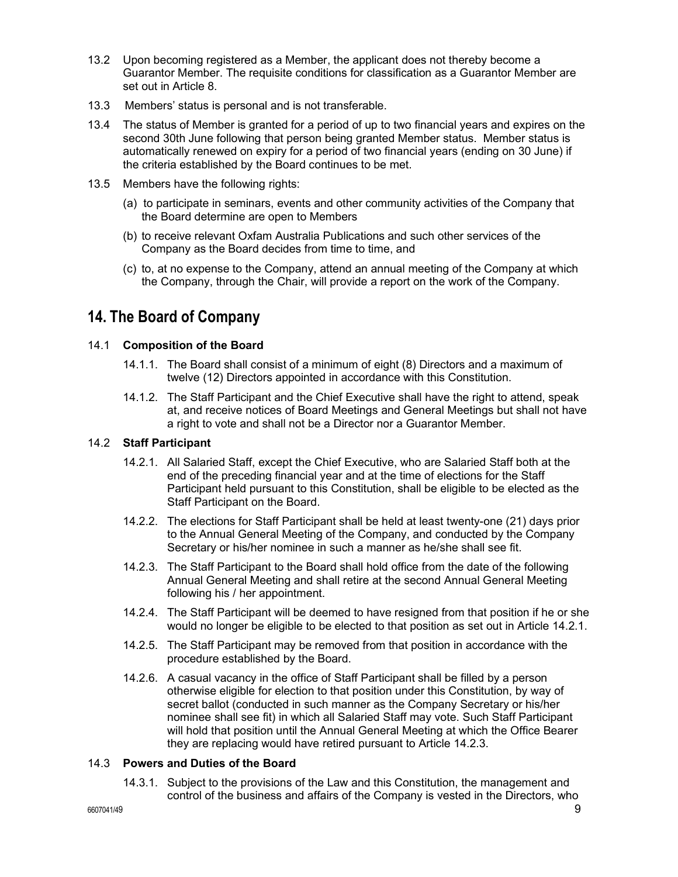- 13.2 Upon becoming registered as a Member, the applicant does not thereby become a Guarantor Member. The requisite conditions for classification as a Guarantor Member are set out in Article 8.
- 13.3 Members' status is personal and is not transferable.
- 13.4 The status of Member is granted for a period of up to two financial years and expires on the second 30th June following that person being granted Member status. Member status is automatically renewed on expiry for a period of two financial years (ending on 30 June) if the criteria established by the Board continues to be met.
- 13.5 Members have the following rights:
	- (a) to participate in seminars, events and other community activities of the Company that the Board determine are open to Members
	- (b) to receive relevant Oxfam Australia Publications and such other services of the Company as the Board decides from time to time, and
	- (c) to, at no expense to the Company, attend an annual meeting of the Company at which the Company, through the Chair, will provide a report on the work of the Company.

# **14. The Board of Company**

#### 14.1 **Composition of the Board**

- 14.1.1. The Board shall consist of a minimum of eight (8) Directors and a maximum of twelve (12) Directors appointed in accordance with this Constitution.
- 14.1.2. The Staff Participant and the Chief Executive shall have the right to attend, speak at, and receive notices of Board Meetings and General Meetings but shall not have a right to vote and shall not be a Director nor a Guarantor Member.

#### 14.2 **Staff Participant**

- 14.2.1. All Salaried Staff, except the Chief Executive, who are Salaried Staff both at the end of the preceding financial year and at the time of elections for the Staff Participant held pursuant to this Constitution, shall be eligible to be elected as the Staff Participant on the Board.
- 14.2.2. The elections for Staff Participant shall be held at least twenty-one (21) days prior to the Annual General Meeting of the Company, and conducted by the Company Secretary or his/her nominee in such a manner as he/she shall see fit.
- 14.2.3. The Staff Participant to the Board shall hold office from the date of the following Annual General Meeting and shall retire at the second Annual General Meeting following his / her appointment.
- 14.2.4. The Staff Participant will be deemed to have resigned from that position if he or she would no longer be eligible to be elected to that position as set out in Article 14.2.1.
- 14.2.5. The Staff Participant may be removed from that position in accordance with the procedure established by the Board.
- 14.2.6. A casual vacancy in the office of Staff Participant shall be filled by a person otherwise eligible for election to that position under this Constitution, by way of secret ballot (conducted in such manner as the Company Secretary or his/her nominee shall see fit) in which all Salaried Staff may vote. Such Staff Participant will hold that position until the Annual General Meeting at which the Office Bearer they are replacing would have retired pursuant to Article 14.2.3.

#### 14.3 **Powers and Duties of the Board**

14.3.1. Subject to the provisions of the Law and this Constitution, the management and control of the business and affairs of the Company is vested in the Directors, who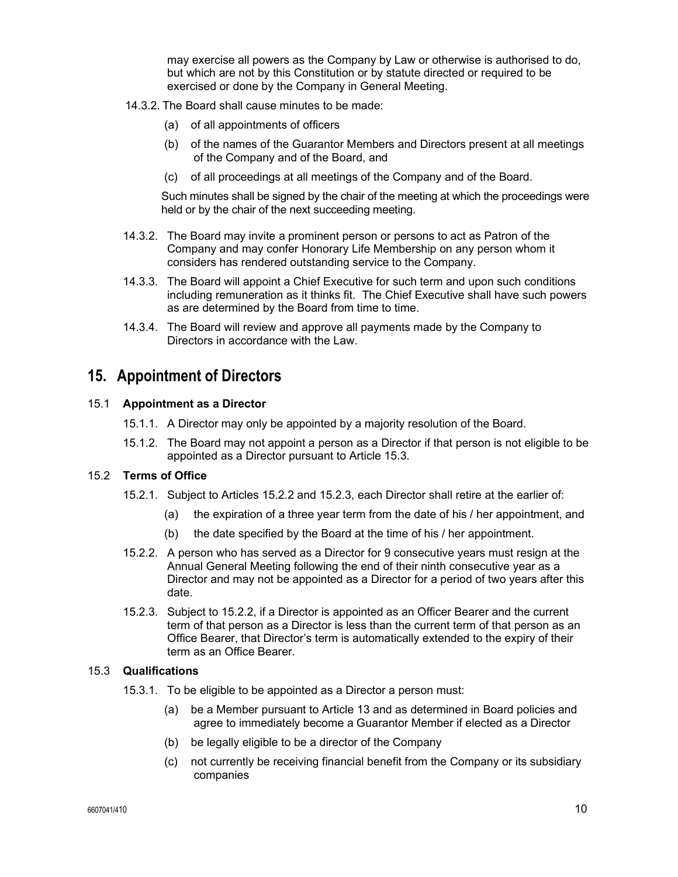may exercise all powers as the Company by Law or otherwise is authorised to do, but which are not by this Constitution or by statute directed or required to be exercised or done by the Company in General Meeting.

- 14.3.2. The Board shall cause minutes to be made:
	- (a) of all appointments of officers
	- (b) of the names of the Guarantor Members and Directors present at all meetings of the Company and of the Board, and
	- (c) of all proceedings at all meetings of the Company and of the Board.

Such minutes shall be signed by the chair of the meeting at which the proceedings were held or by the chair of the next succeeding meeting.

- 14.3.2. The Board may invite a prominent person or persons to act as Patron of the Company and may confer Honorary Life Membership on any person whom it considers has rendered outstanding service to the Company.
- 14.3.3. The Board will appoint a Chief Executive for such term and upon such conditions including remuneration as it thinks fit. The Chief Executive shall have such powers as are determined by the Board from time to time.
- 14.3.4. The Board will review and approve all payments made by the Company to Directors in accordance with the Law.

### **15. Appointment of Directors**

#### 15.1 **Appointment as a Director**

- 15.1.1. A Director may only be appointed by a majority resolution of the Board.
- 15.1.2. The Board may not appoint a person as a Director if that person is not eligible to be appointed as a Director pursuant to Article 15.3.

#### 15.2 **Terms of Office**

- 15.2.1. Subject to Articles 15.2.2 and 15.2.3, each Director shall retire at the earlier of:
	- (a) the expiration of a three year term from the date of his / her appointment, and
	- (b) the date specified by the Board at the time of his / her appointment.
- 15.2.2. A person who has served as a Director for 9 consecutive years must resign at the Annual General Meeting following the end of their ninth consecutive year as a Director and may not be appointed as a Director for a period of two years after this date.
- 15.2.3. Subject to 15.2.2, if a Director is appointed as an Officer Bearer and the current term of that person as a Director is less than the current term of that person as an Office Bearer, that Director's term is automatically extended to the expiry of their term as an Office Bearer.

#### 15.3 **Qualifications**

- 15.3.1. To be eligible to be appointed as a Director a person must:
	- (a) be a Member pursuant to Article 13 and as determined in Board policies and agree to immediately become a Guarantor Member if elected as a Director
	- (b) be legally eligible to be a director of the Company
	- (c) not currently be receiving financial benefit from the Company or its subsidiary companies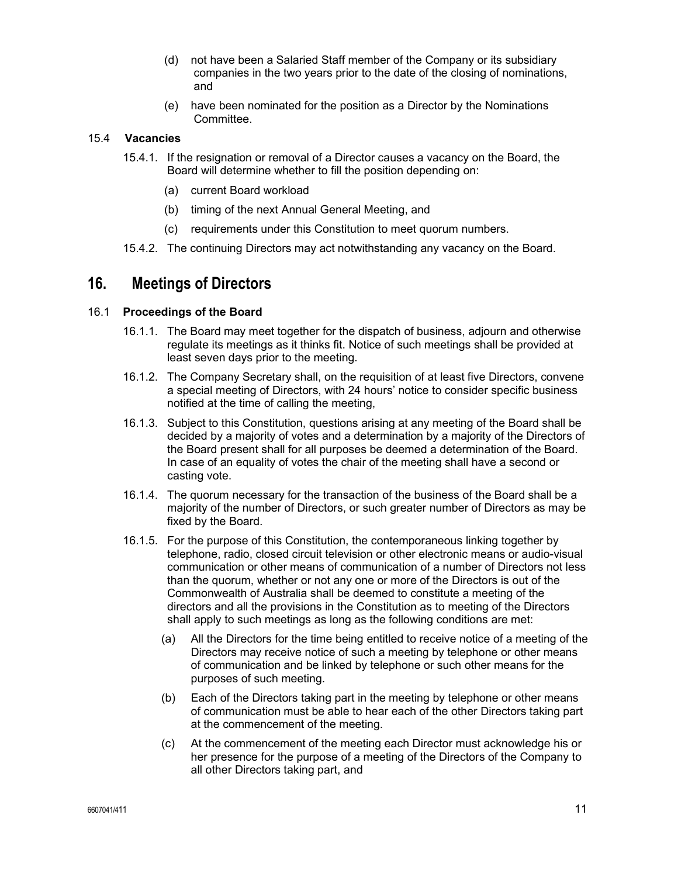- (d) not have been a Salaried Staff member of the Company or its subsidiary companies in the two years prior to the date of the closing of nominations, and
- (e) have been nominated for the position as a Director by the Nominations Committee.

#### 15.4 **Vacancies**

- 15.4.1. If the resignation or removal of a Director causes a vacancy on the Board, the Board will determine whether to fill the position depending on:
	- (a) current Board workload
	- (b) timing of the next Annual General Meeting, and
	- (c) requirements under this Constitution to meet quorum numbers.
- 15.4.2. The continuing Directors may act notwithstanding any vacancy on the Board.

### **16. Meetings of Directors**

#### 16.1 **Proceedings of the Board**

- 16.1.1. The Board may meet together for the dispatch of business, adjourn and otherwise regulate its meetings as it thinks fit. Notice of such meetings shall be provided at least seven days prior to the meeting.
- 16.1.2. The Company Secretary shall, on the requisition of at least five Directors, convene a special meeting of Directors, with 24 hours' notice to consider specific business notified at the time of calling the meeting,
- 16.1.3. Subject to this Constitution, questions arising at any meeting of the Board shall be decided by a majority of votes and a determination by a majority of the Directors of the Board present shall for all purposes be deemed a determination of the Board. In case of an equality of votes the chair of the meeting shall have a second or casting vote.
- 16.1.4. The quorum necessary for the transaction of the business of the Board shall be a majority of the number of Directors, or such greater number of Directors as may be fixed by the Board.
- 16.1.5. For the purpose of this Constitution, the contemporaneous linking together by telephone, radio, closed circuit television or other electronic means or audio-visual communication or other means of communication of a number of Directors not less than the quorum, whether or not any one or more of the Directors is out of the Commonwealth of Australia shall be deemed to constitute a meeting of the directors and all the provisions in the Constitution as to meeting of the Directors shall apply to such meetings as long as the following conditions are met:
	- (a) All the Directors for the time being entitled to receive notice of a meeting of the Directors may receive notice of such a meeting by telephone or other means of communication and be linked by telephone or such other means for the purposes of such meeting.
	- (b) Each of the Directors taking part in the meeting by telephone or other means of communication must be able to hear each of the other Directors taking part at the commencement of the meeting.
	- (c) At the commencement of the meeting each Director must acknowledge his or her presence for the purpose of a meeting of the Directors of the Company to all other Directors taking part, and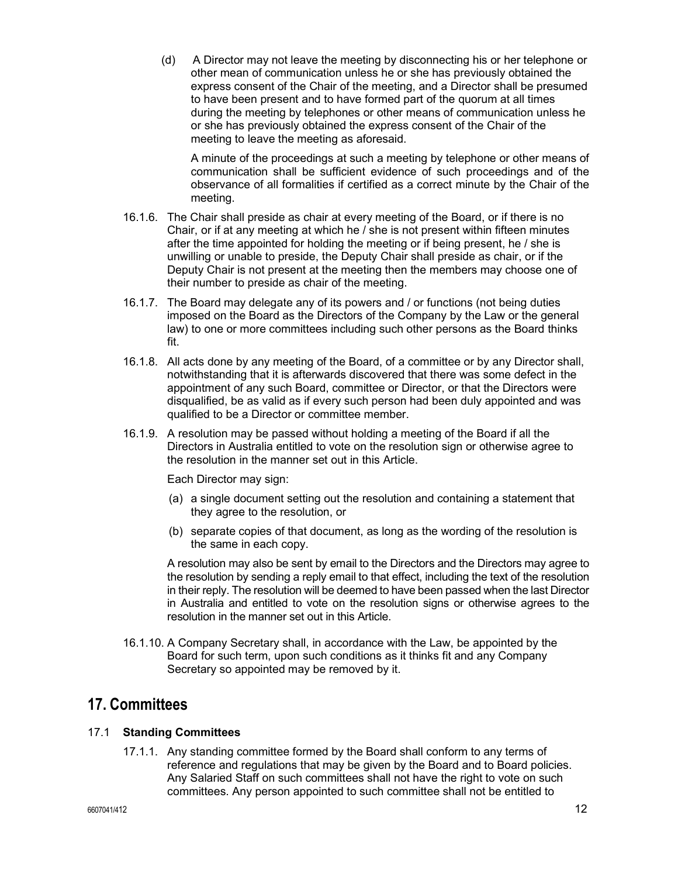(d) A Director may not leave the meeting by disconnecting his or her telephone or other mean of communication unless he or she has previously obtained the express consent of the Chair of the meeting, and a Director shall be presumed to have been present and to have formed part of the quorum at all times during the meeting by telephones or other means of communication unless he or she has previously obtained the express consent of the Chair of the meeting to leave the meeting as aforesaid.

A minute of the proceedings at such a meeting by telephone or other means of communication shall be sufficient evidence of such proceedings and of the observance of all formalities if certified as a correct minute by the Chair of the meeting.

- 16.1.6. The Chair shall preside as chair at every meeting of the Board, or if there is no Chair, or if at any meeting at which he / she is not present within fifteen minutes after the time appointed for holding the meeting or if being present, he / she is unwilling or unable to preside, the Deputy Chair shall preside as chair, or if the Deputy Chair is not present at the meeting then the members may choose one of their number to preside as chair of the meeting.
- 16.1.7. The Board may delegate any of its powers and / or functions (not being duties imposed on the Board as the Directors of the Company by the Law or the general law) to one or more committees including such other persons as the Board thinks fit.
- 16.1.8. All acts done by any meeting of the Board, of a committee or by any Director shall, notwithstanding that it is afterwards discovered that there was some defect in the appointment of any such Board, committee or Director, or that the Directors were disqualified, be as valid as if every such person had been duly appointed and was qualified to be a Director or committee member.
- 16.1.9. A resolution may be passed without holding a meeting of the Board if all the Directors in Australia entitled to vote on the resolution sign or otherwise agree to the resolution in the manner set out in this Article.

Each Director may sign:

- (a) a single document setting out the resolution and containing a statement that they agree to the resolution, or
- (b) separate copies of that document, as long as the wording of the resolution is the same in each copy.

A resolution may also be sent by email to the Directors and the Directors may agree to the resolution by sending a reply email to that effect, including the text of the resolution in their reply. The resolution will be deemed to have been passed when the last Director in Australia and entitled to vote on the resolution signs or otherwise agrees to the resolution in the manner set out in this Article.

16.1.10. A Company Secretary shall, in accordance with the Law, be appointed by the Board for such term, upon such conditions as it thinks fit and any Company Secretary so appointed may be removed by it.

### **17. Committees**

#### 17.1 **Standing Committees**

17.1.1. Any standing committee formed by the Board shall conform to any terms of reference and regulations that may be given by the Board and to Board policies. Any Salaried Staff on such committees shall not have the right to vote on such committees. Any person appointed to such committee shall not be entitled to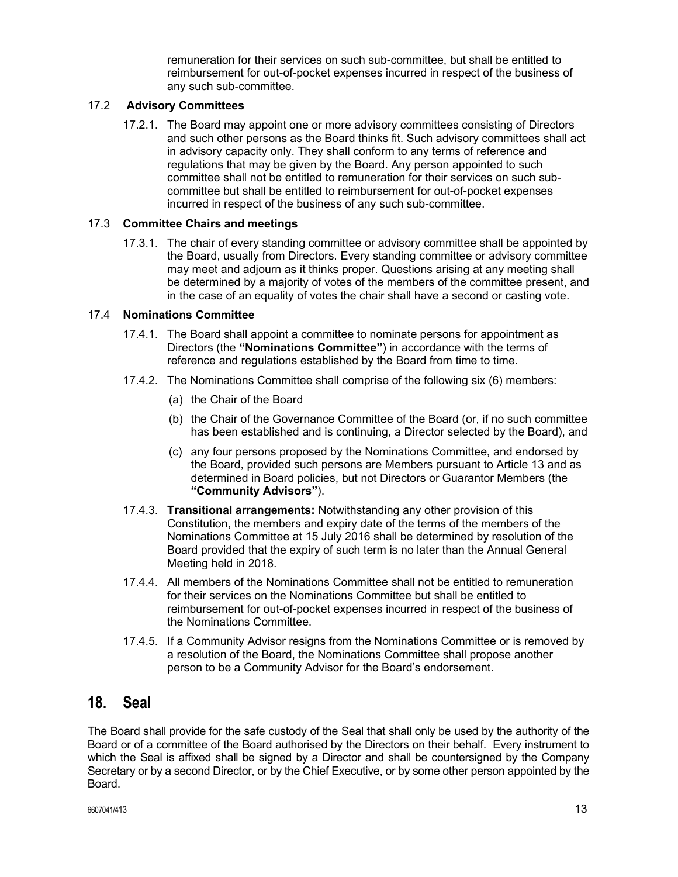remuneration for their services on such sub-committee, but shall be entitled to reimbursement for out-of-pocket expenses incurred in respect of the business of any such sub-committee.

#### 17.2 **Advisory Committees**

17.2.1. The Board may appoint one or more advisory committees consisting of Directors and such other persons as the Board thinks fit. Such advisory committees shall act in advisory capacity only. They shall conform to any terms of reference and regulations that may be given by the Board. Any person appointed to such committee shall not be entitled to remuneration for their services on such subcommittee but shall be entitled to reimbursement for out-of-pocket expenses incurred in respect of the business of any such sub-committee.

#### 17.3 **Committee Chairs and meetings**

17.3.1. The chair of every standing committee or advisory committee shall be appointed by the Board, usually from Directors. Every standing committee or advisory committee may meet and adjourn as it thinks proper. Questions arising at any meeting shall be determined by a majority of votes of the members of the committee present, and in the case of an equality of votes the chair shall have a second or casting vote.

#### 17.4 **Nominations Committee**

- 17.4.1. The Board shall appoint a committee to nominate persons for appointment as Directors (the **"Nominations Committee"**) in accordance with the terms of reference and regulations established by the Board from time to time.
- 17.4.2. The Nominations Committee shall comprise of the following six (6) members:
	- (a) the Chair of the Board
	- (b) the Chair of the Governance Committee of the Board (or, if no such committee has been established and is continuing, a Director selected by the Board), and
	- (c) any four persons proposed by the Nominations Committee, and endorsed by the Board, provided such persons are Members pursuant to Article 13 and as determined in Board policies, but not Directors or Guarantor Members (the **"Community Advisors"**).
- 17.4.3. **Transitional arrangements:** Notwithstanding any other provision of this Constitution, the members and expiry date of the terms of the members of the Nominations Committee at 15 July 2016 shall be determined by resolution of the Board provided that the expiry of such term is no later than the Annual General Meeting held in 2018.
- 17.4.4. All members of the Nominations Committee shall not be entitled to remuneration for their services on the Nominations Committee but shall be entitled to reimbursement for out-of-pocket expenses incurred in respect of the business of the Nominations Committee.
- 17.4.5. If a Community Advisor resigns from the Nominations Committee or is removed by a resolution of the Board, the Nominations Committee shall propose another person to be a Community Advisor for the Board's endorsement.

### **18. Seal**

The Board shall provide for the safe custody of the Seal that shall only be used by the authority of the Board or of a committee of the Board authorised by the Directors on their behalf. Every instrument to which the Seal is affixed shall be signed by a Director and shall be countersigned by the Company Secretary or by a second Director, or by the Chief Executive, or by some other person appointed by the Board.

 $\frac{6607041}{413}$  13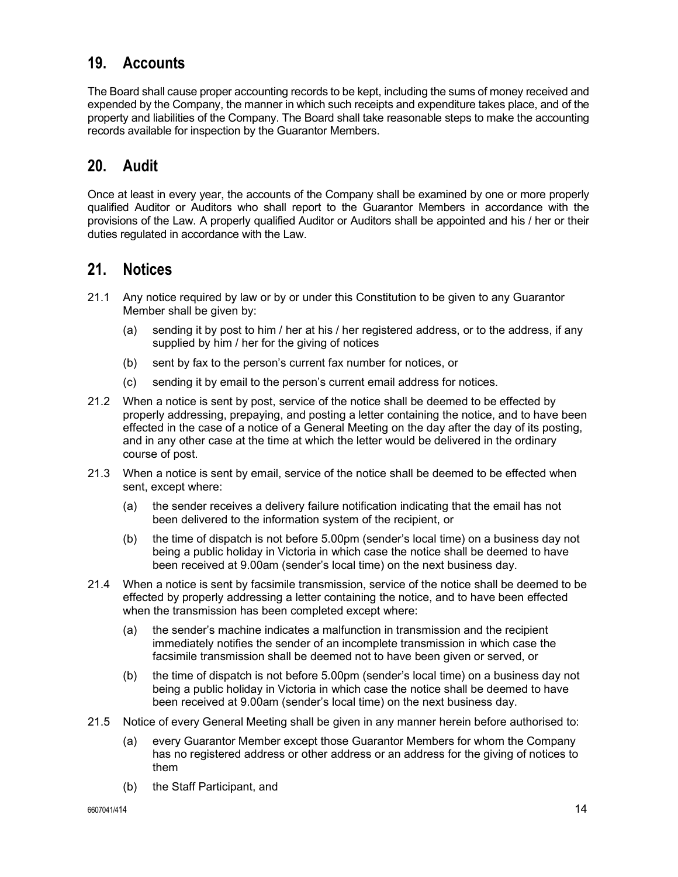# **19. Accounts**

The Board shall cause proper accounting records to be kept, including the sums of money received and expended by the Company, the manner in which such receipts and expenditure takes place, and of the property and liabilities of the Company. The Board shall take reasonable steps to make the accounting records available for inspection by the Guarantor Members.

### **20. Audit**

Once at least in every year, the accounts of the Company shall be examined by one or more properly qualified Auditor or Auditors who shall report to the Guarantor Members in accordance with the provisions of the Law. A properly qualified Auditor or Auditors shall be appointed and his / her or their duties regulated in accordance with the Law.

### **21. Notices**

- 21.1 Any notice required by law or by or under this Constitution to be given to any Guarantor Member shall be given by:
	- (a) sending it by post to him / her at his / her registered address, or to the address, if any supplied by him / her for the giving of notices
	- (b) sent by fax to the person's current fax number for notices, or
	- (c) sending it by email to the person's current email address for notices.
- 21.2 When a notice is sent by post, service of the notice shall be deemed to be effected by properly addressing, prepaying, and posting a letter containing the notice, and to have been effected in the case of a notice of a General Meeting on the day after the day of its posting, and in any other case at the time at which the letter would be delivered in the ordinary course of post.
- 21.3 When a notice is sent by email, service of the notice shall be deemed to be effected when sent, except where:
	- (a) the sender receives a delivery failure notification indicating that the email has not been delivered to the information system of the recipient, or
	- (b) the time of dispatch is not before 5.00pm (sender's local time) on a business day not being a public holiday in Victoria in which case the notice shall be deemed to have been received at 9.00am (sender's local time) on the next business day.
- 21.4 When a notice is sent by facsimile transmission, service of the notice shall be deemed to be effected by properly addressing a letter containing the notice, and to have been effected when the transmission has been completed except where:
	- (a) the sender's machine indicates a malfunction in transmission and the recipient immediately notifies the sender of an incomplete transmission in which case the facsimile transmission shall be deemed not to have been given or served, or
	- (b) the time of dispatch is not before 5.00pm (sender's local time) on a business day not being a public holiday in Victoria in which case the notice shall be deemed to have been received at 9.00am (sender's local time) on the next business day.
- 21.5 Notice of every General Meeting shall be given in any manner herein before authorised to:
	- (a) every Guarantor Member except those Guarantor Members for whom the Company has no registered address or other address or an address for the giving of notices to them
	- (b) the Staff Participant, and